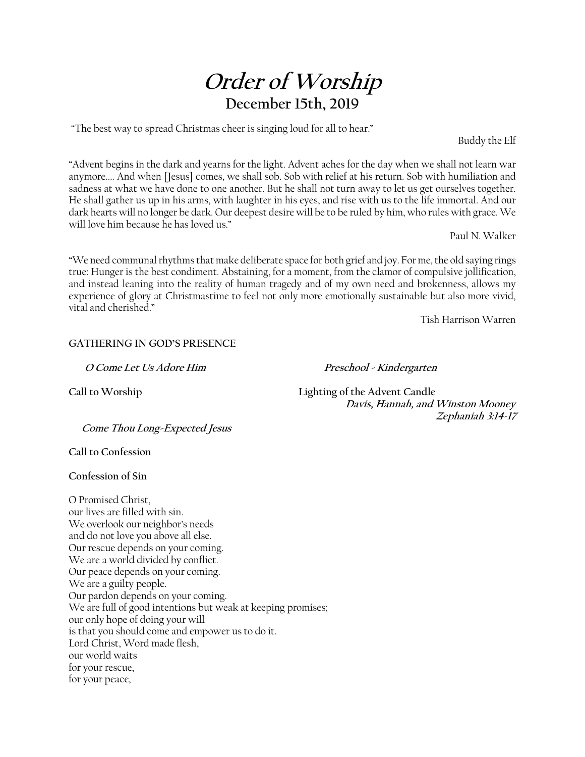# **Order of Worship December 15th, 2019**

"The best way to spread Christmas cheer is singing loud for all to hear."

Buddy the Elf

"Advent begins in the dark and yearns for the light. Advent aches for the day when we shall not learn war anymore.... And when [Jesus] comes, we shall sob. Sob with relief at his return. Sob with humiliation and sadness at what we have done to one another. But he shall not turn away to let us get ourselves together. He shall gather us up in his arms, with laughter in his eyes, and rise with us to the life immortal. And our dark hearts will no longer be dark. Our deepest desire will be to be ruled by him, who rules with grace. We will love him because he has loved us."

Paul N. Walker

"We need communal rhythms that make deliberate space for both grief and joy. For me, the old saying rings true: Hunger is the best condiment. Abstaining, for a moment, from the clamor of compulsive jollification, and instead leaning into the reality of human tragedy and of my own need and brokenness, allows my experience of glory at Christmastime to feel not only more emotionally sustainable but also more vivid, vital and cherished."

Tish Harrison Warren

#### **GATHERING IN GOD'S PRESENCE**

**O Come Let Us Adore Him Preschool - Kindergarten** 

**Call to Worship Lighting of the Advent Candle Davis, Hannah, and Winston Mooney Zephaniah 3:14-17** 

**Come Thou Long-Expected Jesus** 

**Call to Confession** 

**Confession of Sin** 

O Promised Christ, our lives are filled with sin. We overlook our neighbor's needs and do not love you above all else. Our rescue depends on your coming. We are a world divided by conflict. Our peace depends on your coming. We are a guilty people. Our pardon depends on your coming. We are full of good intentions but weak at keeping promises; our only hope of doing your will is that you should come and empower us to do it. Lord Christ, Word made flesh, our world waits for your rescue, for your peace,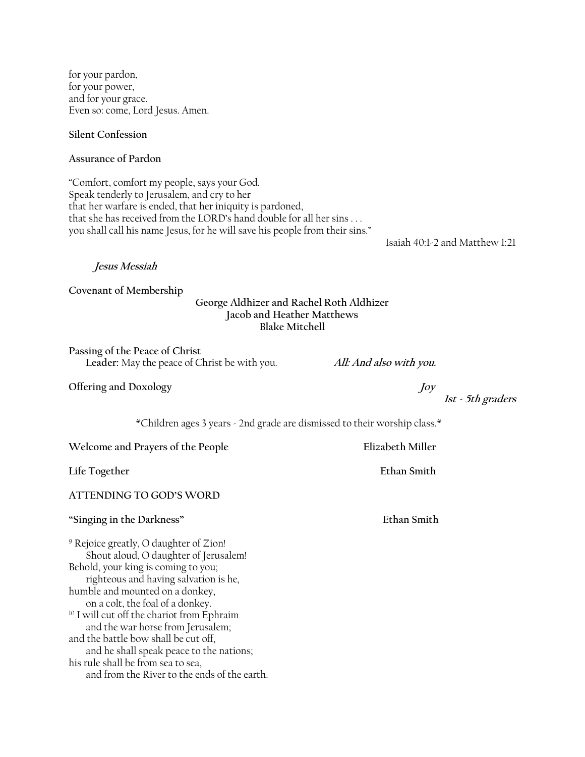for your pardon, for your power, and for your grace. Even so: come, Lord Jesus. Amen.

**Silent Confession** 

**Assurance of Pardon** 

"Comfort, comfort my people, says your God. Speak tenderly to Jerusalem, and cry to her that her warfare is ended, that her iniquity is pardoned, that she has received from the LORD's hand double for all her sins . . . you shall call his name Jesus, for he will save his people from their sins."

Isaiah 40:1-2 and Matthew 1:21

**Jesus Messiah** 

**Covenant of Membership** 

## **George Aldhizer and Rachel Roth Aldhizer Jacob and Heather Matthews Blake Mitchell**

**Passing of the Peace of Christ Leader:** May the peace of Christ be with you. **All: And also with you.**

**Offering and Doxology** 

**1st - 5th graders**

\*Children ages 3 years - 2nd grade are dismissed to their worship class.\*

**Welcome and Prayers of the People Elizabeth Miller** 

Life Together **Ethan Smith** 

**ATTENDING TO GOD'S WORD** 

**"Singing in the Darkness" Ethan Smith** 

9 Rejoice greatly, O daughter of Zion! Shout aloud, O daughter of Jerusalem! Behold, your king is coming to you; righteous and having salvation is he, humble and mounted on a donkey, on a colt, the foal of a donkey. <sup>10</sup> I will cut off the chariot from Ephraim and the war horse from Jerusalem; and the battle bow shall be cut off, and he shall speak peace to the nations; his rule shall be from sea to sea, and from the River to the ends of the earth.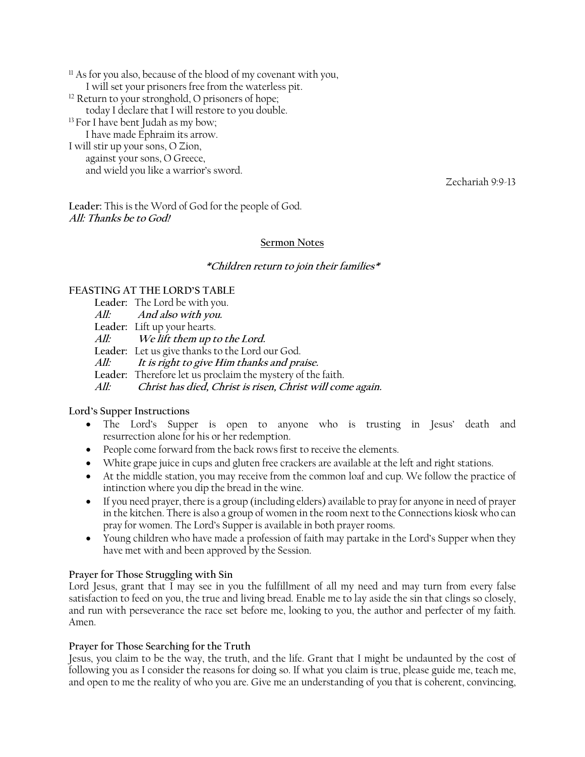$11$  As for you also, because of the blood of my covenant with you, I will set your prisoners free from the waterless pit. <sup>12</sup> Return to your stronghold, O prisoners of hope; today I declare that I will restore to you double. <sup>13</sup> For I have bent Judah as my bow; I have made Ephraim its arrow. I will stir up your sons, O Zion, against your sons, O Greece, and wield you like a warrior's sword.

Zechariah 9:9-13

**Leader:** This is the Word of God for the people of God. **All: Thanks be to God!** 

### **Sermon Notes**

#### **\*Children return to join their families\***

## **FEASTING AT THE LORD'S TABLE**

**Leader:** The Lord be with you. **All: And also with you. Leader:** Lift up your hearts. **All: We lift them up to the Lord. Leader:** Let us give thanks to the Lord our God. **All: It is right to give Him thanks and praise. Leader:** Therefore let us proclaim the mystery of the faith. **All: Christ has died, Christ is risen, Christ will come again.** 

#### **Lord's Supper Instructions**

- The Lord's Supper is open to anyone who is trusting in Jesus' death and resurrection alone for his or her redemption.
- People come forward from the back rows first to receive the elements.
- White grape juice in cups and gluten free crackers are available at the left and right stations.
- At the middle station, you may receive from the common loaf and cup. We follow the practice of intinction where you dip the bread in the wine.
- If you need prayer, there is a group (including elders) available to pray for anyone in need of prayer in the kitchen. There is also a group of women in the room next to the Connections kiosk who can pray for women. The Lord's Supper is available in both prayer rooms.
- Young children who have made a profession of faith may partake in the Lord's Supper when they have met with and been approved by the Session.

### **Prayer for Those Struggling with Sin**

Lord Jesus, grant that I may see in you the fulfillment of all my need and may turn from every false satisfaction to feed on you, the true and living bread. Enable me to lay aside the sin that clings so closely, and run with perseverance the race set before me, looking to you, the author and perfecter of my faith. Amen.

### **Prayer for Those Searching for the Truth**

Jesus, you claim to be the way, the truth, and the life. Grant that I might be undaunted by the cost of following you as I consider the reasons for doing so. If what you claim is true, please guide me, teach me, and open to me the reality of who you are. Give me an understanding of you that is coherent, convincing,